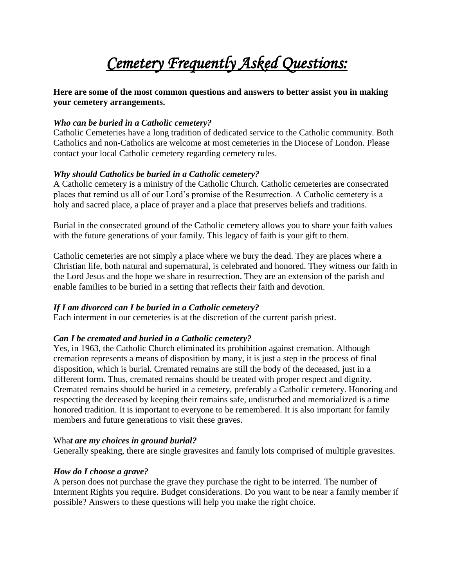# *Cemetery Frequently Asked Questions:*

**Here are some of the most common questions and answers to better assist you in making your cemetery arrangements.**

# *Who can be buried in a Catholic cemetery?*

Catholic Cemeteries have a long tradition of dedicated service to the Catholic community. Both Catholics and non-Catholics are welcome at most cemeteries in the Diocese of London. Please contact your local Catholic cemetery regarding cemetery rules.

# *Why should Catholics be buried in a Catholic cemetery?*

A Catholic cemetery is a ministry of the Catholic Church. Catholic cemeteries are consecrated places that remind us all of our Lord's promise of the Resurrection. A Catholic cemetery is a holy and sacred place, a place of prayer and a place that preserves beliefs and traditions.

Burial in the consecrated ground of the Catholic cemetery allows you to share your faith values with the future generations of your family. This legacy of faith is your gift to them.

Catholic cemeteries are not simply a place where we bury the dead. They are places where a Christian life, both natural and supernatural, is celebrated and honored. They witness our faith in the Lord Jesus and the hope we share in resurrection. They are an extension of the parish and enable families to be buried in a setting that reflects their faith and devotion.

# *If I am divorced can I be buried in a Catholic cemetery?*

Each interment in our cemeteries is at the discretion of the current parish priest.

# *Can I be cremated and buried in a Catholic cemetery?*

Yes, in 1963, the Catholic Church eliminated its prohibition against cremation. Although cremation represents a means of disposition by many, it is just a step in the process of final disposition, which is burial. Cremated remains are still the body of the deceased, just in a different form. Thus, cremated remains should be treated with proper respect and dignity. Cremated remains should be buried in a cemetery, preferably a Catholic cemetery. Honoring and respecting the deceased by keeping their remains safe, undisturbed and memorialized is a time honored tradition. It is important to everyone to be remembered. It is also important for family members and future generations to visit these graves.

# Wha*t are my choices in ground burial?*

Generally speaking, there are single gravesites and family lots comprised of multiple gravesites.

# *How do I choose a grave?*

A person does not purchase the grave they purchase the right to be interred. The number of Interment Rights you require. Budget considerations. Do you want to be near a family member if possible? Answers to these questions will help you make the right choice.